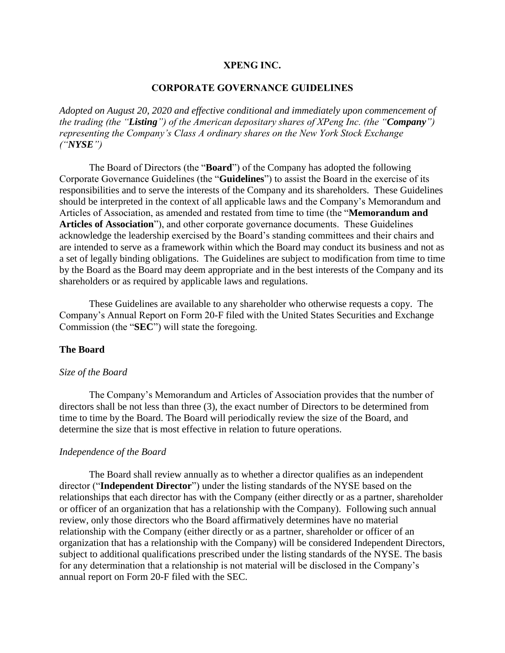### **XPENG INC.**

### **CORPORATE GOVERNANCE GUIDELINES**

*Adopted on August 20, 2020 and effective conditional and immediately upon commencement of the trading (the "Listing") of the American depositary shares of XPeng Inc. (the "Company") representing the Company's Class A ordinary shares on the New York Stock Exchange ("NYSE")*

The Board of Directors (the "**Board**") of the Company has adopted the following Corporate Governance Guidelines (the "**Guidelines**") to assist the Board in the exercise of its responsibilities and to serve the interests of the Company and its shareholders. These Guidelines should be interpreted in the context of all applicable laws and the Company's Memorandum and Articles of Association, as amended and restated from time to time (the "**Memorandum and Articles of Association**"), and other corporate governance documents. These Guidelines acknowledge the leadership exercised by the Board's standing committees and their chairs and are intended to serve as a framework within which the Board may conduct its business and not as a set of legally binding obligations. The Guidelines are subject to modification from time to time by the Board as the Board may deem appropriate and in the best interests of the Company and its shareholders or as required by applicable laws and regulations.

These Guidelines are available to any shareholder who otherwise requests a copy. The Company's Annual Report on Form 20-F filed with the United States Securities and Exchange Commission (the "**SEC**") will state the foregoing.

## **The Board**

#### *Size of the Board*

The Company's Memorandum and Articles of Association provides that the number of directors shall be not less than three (3), the exact number of Directors to be determined from time to time by the Board. The Board will periodically review the size of the Board, and determine the size that is most effective in relation to future operations.

#### *Independence of the Board*

The Board shall review annually as to whether a director qualifies as an independent director ("**Independent Director**") under the listing standards of the NYSE based on the relationships that each director has with the Company (either directly or as a partner, shareholder or officer of an organization that has a relationship with the Company). Following such annual review, only those directors who the Board affirmatively determines have no material relationship with the Company (either directly or as a partner, shareholder or officer of an organization that has a relationship with the Company) will be considered Independent Directors, subject to additional qualifications prescribed under the listing standards of the NYSE. The basis for any determination that a relationship is not material will be disclosed in the Company's annual report on Form 20-F filed with the SEC.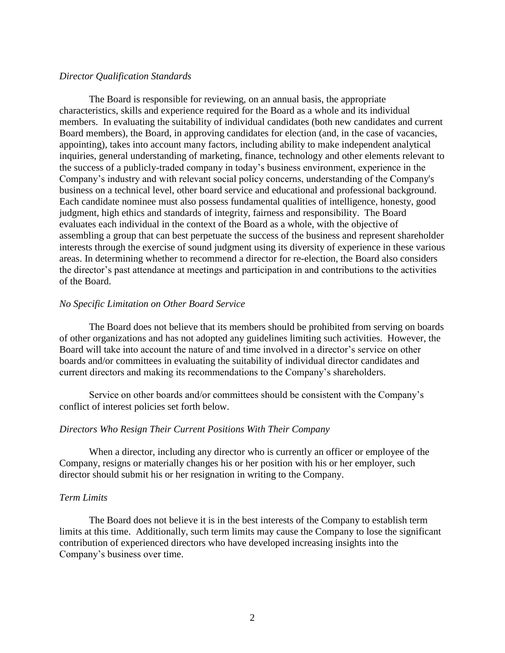### *Director Qualification Standards*

The Board is responsible for reviewing, on an annual basis, the appropriate characteristics, skills and experience required for the Board as a whole and its individual members. In evaluating the suitability of individual candidates (both new candidates and current Board members), the Board, in approving candidates for election (and, in the case of vacancies, appointing), takes into account many factors, including ability to make independent analytical inquiries, general understanding of marketing, finance, technology and other elements relevant to the success of a publicly-traded company in today's business environment, experience in the Company's industry and with relevant social policy concerns, understanding of the Company's business on a technical level, other board service and educational and professional background. Each candidate nominee must also possess fundamental qualities of intelligence, honesty, good judgment, high ethics and standards of integrity, fairness and responsibility. The Board evaluates each individual in the context of the Board as a whole, with the objective of assembling a group that can best perpetuate the success of the business and represent shareholder interests through the exercise of sound judgment using its diversity of experience in these various areas. In determining whether to recommend a director for re-election, the Board also considers the director's past attendance at meetings and participation in and contributions to the activities of the Board.

### *No Specific Limitation on Other Board Service*

The Board does not believe that its members should be prohibited from serving on boards of other organizations and has not adopted any guidelines limiting such activities. However, the Board will take into account the nature of and time involved in a director's service on other boards and/or committees in evaluating the suitability of individual director candidates and current directors and making its recommendations to the Company's shareholders.

Service on other boards and/or committees should be consistent with the Company's conflict of interest policies set forth below.

## *Directors Who Resign Their Current Positions With Their Company*

When a director, including any director who is currently an officer or employee of the Company, resigns or materially changes his or her position with his or her employer, such director should submit his or her resignation in writing to the Company.

#### *Term Limits*

The Board does not believe it is in the best interests of the Company to establish term limits at this time. Additionally, such term limits may cause the Company to lose the significant contribution of experienced directors who have developed increasing insights into the Company's business over time.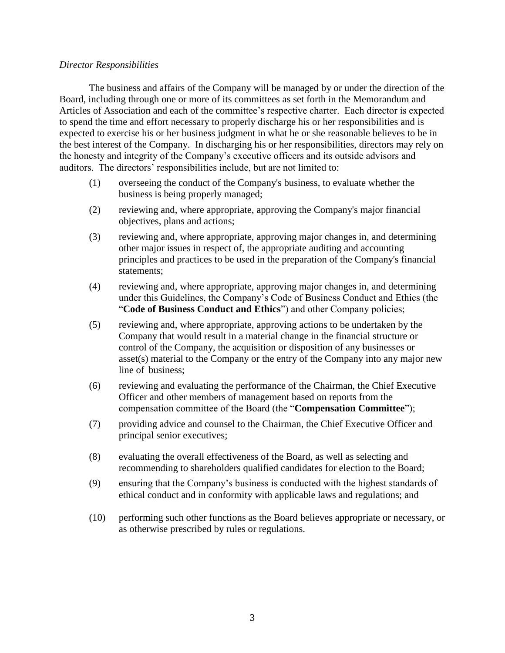## *Director Responsibilities*

The business and affairs of the Company will be managed by or under the direction of the Board, including through one or more of its committees as set forth in the Memorandum and Articles of Association and each of the committee's respective charter. Each director is expected to spend the time and effort necessary to properly discharge his or her responsibilities and is expected to exercise his or her business judgment in what he or she reasonable believes to be in the best interest of the Company. In discharging his or her responsibilities, directors may rely on the honesty and integrity of the Company's executive officers and its outside advisors and auditors. The directors' responsibilities include, but are not limited to:

- (1) overseeing the conduct of the Company's business, to evaluate whether the business is being properly managed;
- (2) reviewing and, where appropriate, approving the Company's major financial objectives, plans and actions;
- (3) reviewing and, where appropriate, approving major changes in, and determining other major issues in respect of, the appropriate auditing and accounting principles and practices to be used in the preparation of the Company's financial statements;
- (4) reviewing and, where appropriate, approving major changes in, and determining under this Guidelines, the Company's Code of Business Conduct and Ethics (the "**Code of Business Conduct and Ethics**") and other Company policies;
- (5) reviewing and, where appropriate, approving actions to be undertaken by the Company that would result in a material change in the financial structure or control of the Company, the acquisition or disposition of any businesses or asset(s) material to the Company or the entry of the Company into any major new line of business;
- (6) reviewing and evaluating the performance of the Chairman, the Chief Executive Officer and other members of management based on reports from the compensation committee of the Board (the "**Compensation Committee**");
- (7) providing advice and counsel to the Chairman, the Chief Executive Officer and principal senior executives;
- (8) evaluating the overall effectiveness of the Board, as well as selecting and recommending to shareholders qualified candidates for election to the Board;
- (9) ensuring that the Company's business is conducted with the highest standards of ethical conduct and in conformity with applicable laws and regulations; and
- (10) performing such other functions as the Board believes appropriate or necessary, or as otherwise prescribed by rules or regulations.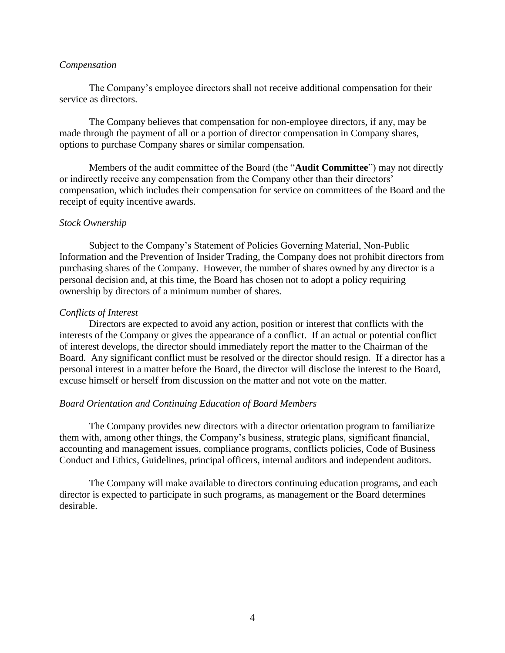### *Compensation*

The Company's employee directors shall not receive additional compensation for their service as directors.

The Company believes that compensation for non-employee directors, if any, may be made through the payment of all or a portion of director compensation in Company shares, options to purchase Company shares or similar compensation.

Members of the audit committee of the Board (the "**Audit Committee**") may not directly or indirectly receive any compensation from the Company other than their directors' compensation, which includes their compensation for service on committees of the Board and the receipt of equity incentive awards.

### *Stock Ownership*

Subject to the Company's Statement of Policies Governing Material, Non-Public Information and the Prevention of Insider Trading, the Company does not prohibit directors from purchasing shares of the Company. However, the number of shares owned by any director is a personal decision and, at this time, the Board has chosen not to adopt a policy requiring ownership by directors of a minimum number of shares.

### *Conflicts of Interest*

Directors are expected to avoid any action, position or interest that conflicts with the interests of the Company or gives the appearance of a conflict. If an actual or potential conflict of interest develops, the director should immediately report the matter to the Chairman of the Board. Any significant conflict must be resolved or the director should resign. If a director has a personal interest in a matter before the Board, the director will disclose the interest to the Board, excuse himself or herself from discussion on the matter and not vote on the matter.

### *Board Orientation and Continuing Education of Board Members*

The Company provides new directors with a director orientation program to familiarize them with, among other things, the Company's business, strategic plans, significant financial, accounting and management issues, compliance programs, conflicts policies, Code of Business Conduct and Ethics, Guidelines, principal officers, internal auditors and independent auditors.

The Company will make available to directors continuing education programs, and each director is expected to participate in such programs, as management or the Board determines desirable.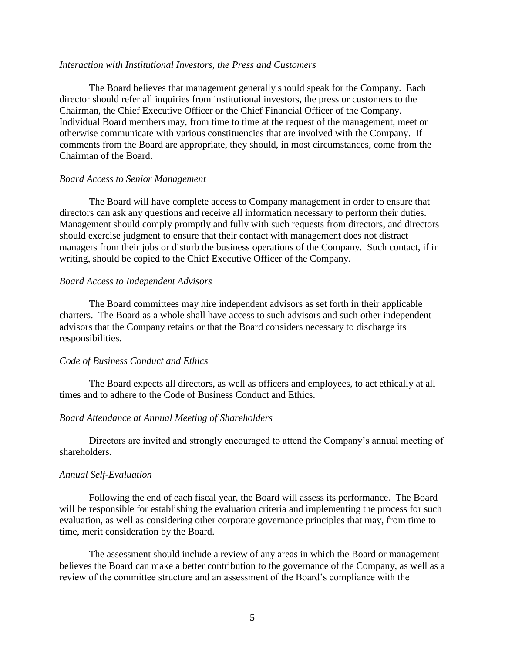#### *Interaction with Institutional Investors, the Press and Customers*

The Board believes that management generally should speak for the Company. Each director should refer all inquiries from institutional investors, the press or customers to the Chairman, the Chief Executive Officer or the Chief Financial Officer of the Company. Individual Board members may, from time to time at the request of the management, meet or otherwise communicate with various constituencies that are involved with the Company. If comments from the Board are appropriate, they should, in most circumstances, come from the Chairman of the Board.

#### *Board Access to Senior Management*

The Board will have complete access to Company management in order to ensure that directors can ask any questions and receive all information necessary to perform their duties. Management should comply promptly and fully with such requests from directors, and directors should exercise judgment to ensure that their contact with management does not distract managers from their jobs or disturb the business operations of the Company. Such contact, if in writing, should be copied to the Chief Executive Officer of the Company.

### *Board Access to Independent Advisors*

The Board committees may hire independent advisors as set forth in their applicable charters. The Board as a whole shall have access to such advisors and such other independent advisors that the Company retains or that the Board considers necessary to discharge its responsibilities.

#### *Code of Business Conduct and Ethics*

The Board expects all directors, as well as officers and employees, to act ethically at all times and to adhere to the Code of Business Conduct and Ethics.

### *Board Attendance at Annual Meeting of Shareholders*

Directors are invited and strongly encouraged to attend the Company's annual meeting of shareholders.

#### *Annual Self-Evaluation*

Following the end of each fiscal year, the Board will assess its performance. The Board will be responsible for establishing the evaluation criteria and implementing the process for such evaluation, as well as considering other corporate governance principles that may, from time to time, merit consideration by the Board.

The assessment should include a review of any areas in which the Board or management believes the Board can make a better contribution to the governance of the Company, as well as a review of the committee structure and an assessment of the Board's compliance with the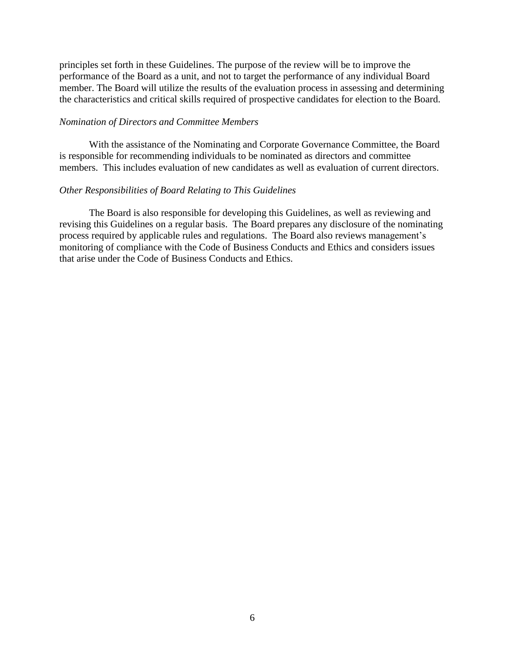principles set forth in these Guidelines. The purpose of the review will be to improve the performance of the Board as a unit, and not to target the performance of any individual Board member. The Board will utilize the results of the evaluation process in assessing and determining the characteristics and critical skills required of prospective candidates for election to the Board.

### *Nomination of Directors and Committee Members*

With the assistance of the Nominating and Corporate Governance Committee, the Board is responsible for recommending individuals to be nominated as directors and committee members. This includes evaluation of new candidates as well as evaluation of current directors.

## *Other Responsibilities of Board Relating to This Guidelines*

The Board is also responsible for developing this Guidelines, as well as reviewing and revising this Guidelines on a regular basis. The Board prepares any disclosure of the nominating process required by applicable rules and regulations. The Board also reviews management's monitoring of compliance with the Code of Business Conducts and Ethics and considers issues that arise under the Code of Business Conducts and Ethics.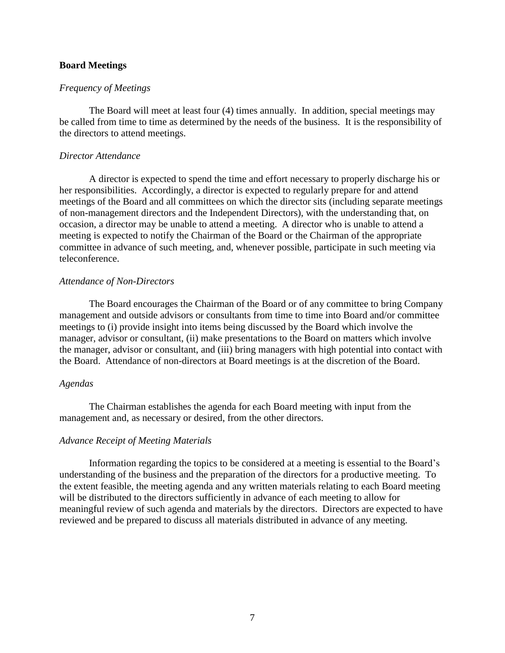## **Board Meetings**

### *Frequency of Meetings*

The Board will meet at least four (4) times annually. In addition, special meetings may be called from time to time as determined by the needs of the business. It is the responsibility of the directors to attend meetings.

### *Director Attendance*

A director is expected to spend the time and effort necessary to properly discharge his or her responsibilities. Accordingly, a director is expected to regularly prepare for and attend meetings of the Board and all committees on which the director sits (including separate meetings of non-management directors and the Independent Directors), with the understanding that, on occasion, a director may be unable to attend a meeting. A director who is unable to attend a meeting is expected to notify the Chairman of the Board or the Chairman of the appropriate committee in advance of such meeting, and, whenever possible, participate in such meeting via teleconference.

### *Attendance of Non-Directors*

The Board encourages the Chairman of the Board or of any committee to bring Company management and outside advisors or consultants from time to time into Board and/or committee meetings to (i) provide insight into items being discussed by the Board which involve the manager, advisor or consultant, (ii) make presentations to the Board on matters which involve the manager, advisor or consultant, and (iii) bring managers with high potential into contact with the Board. Attendance of non-directors at Board meetings is at the discretion of the Board.

#### *Agendas*

The Chairman establishes the agenda for each Board meeting with input from the management and, as necessary or desired, from the other directors.

#### *Advance Receipt of Meeting Materials*

Information regarding the topics to be considered at a meeting is essential to the Board's understanding of the business and the preparation of the directors for a productive meeting. To the extent feasible, the meeting agenda and any written materials relating to each Board meeting will be distributed to the directors sufficiently in advance of each meeting to allow for meaningful review of such agenda and materials by the directors. Directors are expected to have reviewed and be prepared to discuss all materials distributed in advance of any meeting.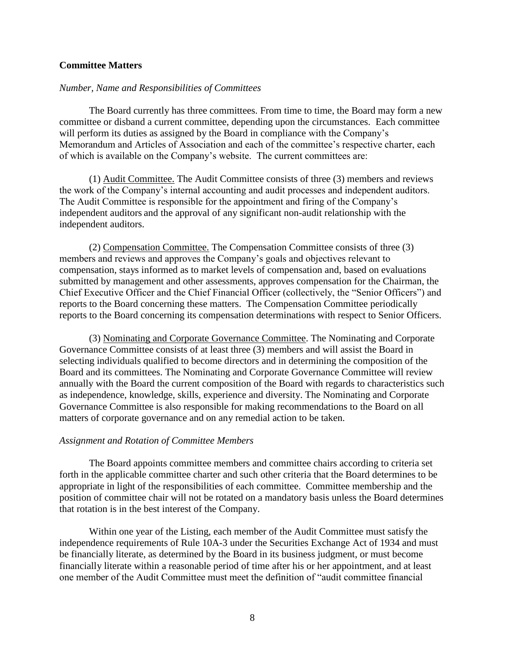### **Committee Matters**

### *Number, Name and Responsibilities of Committees*

The Board currently has three committees. From time to time, the Board may form a new committee or disband a current committee, depending upon the circumstances. Each committee will perform its duties as assigned by the Board in compliance with the Company's Memorandum and Articles of Association and each of the committee's respective charter, each of which is available on the Company's website. The current committees are:

(1) Audit Committee. The Audit Committee consists of three (3) members and reviews the work of the Company's internal accounting and audit processes and independent auditors. The Audit Committee is responsible for the appointment and firing of the Company's independent auditors and the approval of any significant non-audit relationship with the independent auditors.

(2) Compensation Committee. The Compensation Committee consists of three (3) members and reviews and approves the Company's goals and objectives relevant to compensation, stays informed as to market levels of compensation and, based on evaluations submitted by management and other assessments, approves compensation for the Chairman, the Chief Executive Officer and the Chief Financial Officer (collectively, the "Senior Officers") and reports to the Board concerning these matters. The Compensation Committee periodically reports to the Board concerning its compensation determinations with respect to Senior Officers.

(3) Nominating and Corporate Governance Committee. The Nominating and Corporate Governance Committee consists of at least three (3) members and will assist the Board in selecting individuals qualified to become directors and in determining the composition of the Board and its committees. The Nominating and Corporate Governance Committee will review annually with the Board the current composition of the Board with regards to characteristics such as independence, knowledge, skills, experience and diversity. The Nominating and Corporate Governance Committee is also responsible for making recommendations to the Board on all matters of corporate governance and on any remedial action to be taken.

### *Assignment and Rotation of Committee Members*

The Board appoints committee members and committee chairs according to criteria set forth in the applicable committee charter and such other criteria that the Board determines to be appropriate in light of the responsibilities of each committee. Committee membership and the position of committee chair will not be rotated on a mandatory basis unless the Board determines that rotation is in the best interest of the Company.

Within one year of the Listing, each member of the Audit Committee must satisfy the independence requirements of Rule 10A-3 under the Securities Exchange Act of 1934 and must be financially literate, as determined by the Board in its business judgment, or must become financially literate within a reasonable period of time after his or her appointment, and at least one member of the Audit Committee must meet the definition of "audit committee financial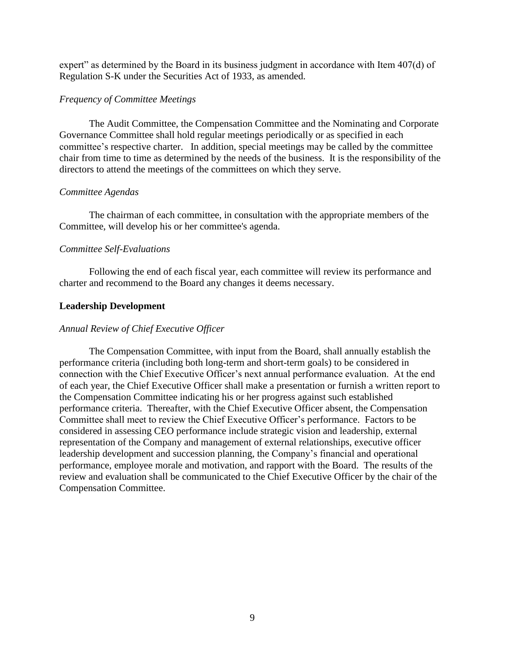expert" as determined by the Board in its business judgment in accordance with Item 407(d) of Regulation S-K under the Securities Act of 1933, as amended.

## *Frequency of Committee Meetings*

The Audit Committee, the Compensation Committee and the Nominating and Corporate Governance Committee shall hold regular meetings periodically or as specified in each committee's respective charter. In addition, special meetings may be called by the committee chair from time to time as determined by the needs of the business. It is the responsibility of the directors to attend the meetings of the committees on which they serve.

## *Committee Agendas*

The chairman of each committee, in consultation with the appropriate members of the Committee, will develop his or her committee's agenda.

# *Committee Self-Evaluations*

Following the end of each fiscal year, each committee will review its performance and charter and recommend to the Board any changes it deems necessary.

# **Leadership Development**

# *Annual Review of Chief Executive Officer*

The Compensation Committee, with input from the Board, shall annually establish the performance criteria (including both long-term and short-term goals) to be considered in connection with the Chief Executive Officer's next annual performance evaluation. At the end of each year, the Chief Executive Officer shall make a presentation or furnish a written report to the Compensation Committee indicating his or her progress against such established performance criteria. Thereafter, with the Chief Executive Officer absent, the Compensation Committee shall meet to review the Chief Executive Officer's performance. Factors to be considered in assessing CEO performance include strategic vision and leadership, external representation of the Company and management of external relationships, executive officer leadership development and succession planning, the Company's financial and operational performance, employee morale and motivation, and rapport with the Board. The results of the review and evaluation shall be communicated to the Chief Executive Officer by the chair of the Compensation Committee.